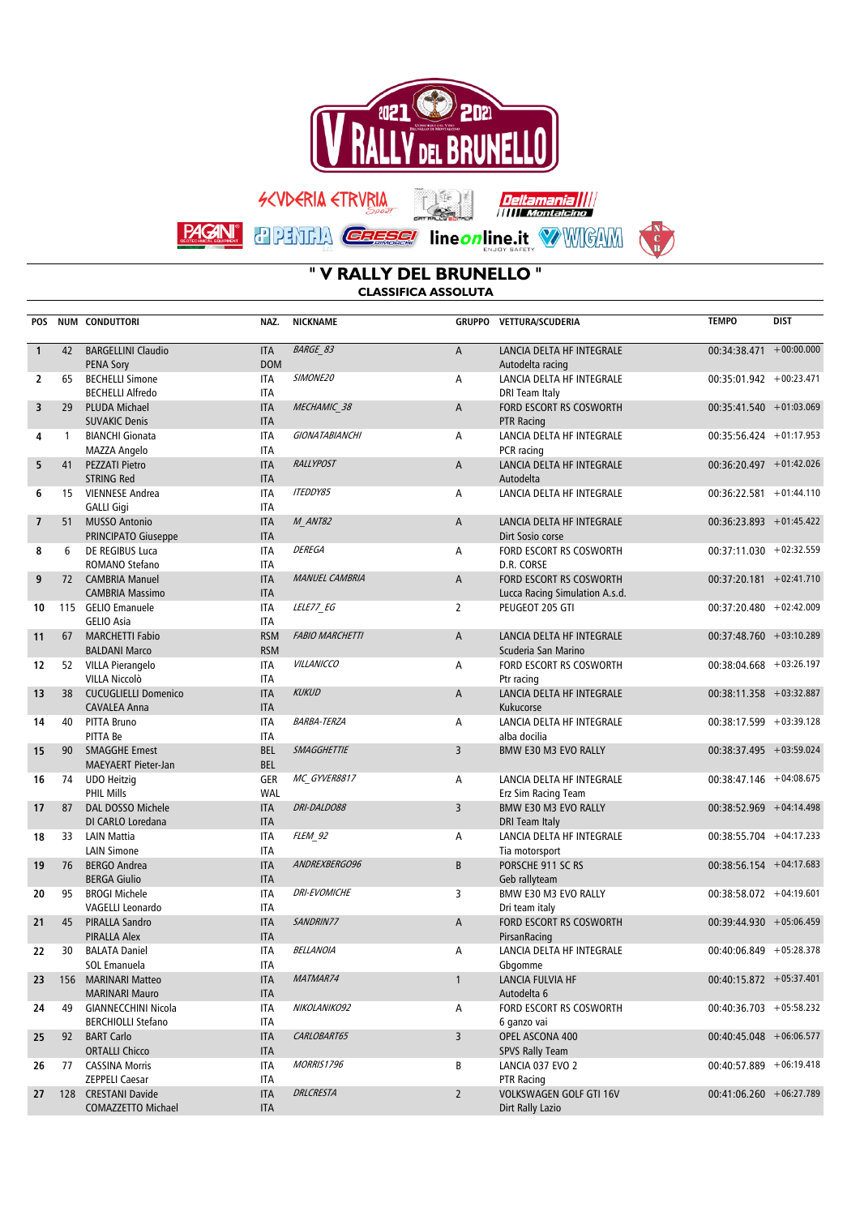

| <mark>Deltamania | | |</mark> |<br>| | | | | | Montalcino

 $\left| \frac{d}{dx} \right|^2$ 



C<br>B

**PACAN PENTHA GELESSE** line online.it WWGAM

## " V RALLY DEL BRUNELLO " **CLASSIFICA ASSOLUTA**

ÑŢ,

| <b>POS</b>               |                | <b>NUM CONDUTTORI</b>                              | NAZ.                     | <b>NICKNAME</b>        |                | GRUPPO VETTURA/SCUDERIA                                   | <b>TEMPO</b>               | <b>DIST</b> |
|--------------------------|----------------|----------------------------------------------------|--------------------------|------------------------|----------------|-----------------------------------------------------------|----------------------------|-------------|
| $\mathbf{1}$             | 42             | <b>BARGELLINI Claudio</b><br><b>PENA Sory</b>      | <b>ITA</b><br><b>DOM</b> | <b>BARGE_83</b>        | A              | LANCIA DELTA HF INTEGRALE<br>Autodelta racing             | $00:34:38.471 + 00:00.000$ |             |
| $\overline{2}$           | 65             | <b>BECHELLI Simone</b><br><b>BECHELLI Alfredo</b>  | <b>ITA</b><br><b>ITA</b> | SIMONE20               | А              | LANCIA DELTA HF INTEGRALE<br>DRI Team Italy               | 00:35:01.942 +00:23.471    |             |
| 3                        | 29             | <b>PLUDA Michael</b><br><b>SUVAKIC Denis</b>       | <b>ITA</b><br><b>ITA</b> | MECHAMIC 38            | A              | FORD ESCORT RS COSWORTH<br><b>PTR Racing</b>              | $00:35:41.540 + 01:03.069$ |             |
| 4                        | $\overline{1}$ | <b>BIANCHI Gionata</b><br>MAZZA Angelo             | <b>ITA</b><br><b>ITA</b> | <b>GIONATABIANCHI</b>  | Α              | LANCIA DELTA HF INTEGRALE<br>PCR racing                   | 00:35:56.424 +01:17.953    |             |
| 5                        | 41             | <b>PEZZATI Pietro</b><br><b>STRING Red</b>         | <b>ITA</b><br><b>ITA</b> | <b>RALLYPOST</b>       | A              | LANCIA DELTA HF INTEGRALE<br>Autodelta                    | $00:36:20.497 + 01:42.026$ |             |
| 6                        | 15             | <b>VIENNESE Andrea</b><br><b>GALLI Gigi</b>        | <b>ITA</b><br><b>ITA</b> | <b>ITEDDY85</b>        | Α              | LANCIA DELTA HF INTEGRALE                                 | $00:36:22.581 + 01:44.110$ |             |
| $\overline{\phantom{a}}$ | 51             | <b>MUSSO Antonio</b><br><b>PRINCIPATO Giuseppe</b> | <b>ITA</b><br><b>ITA</b> | <b>M ANT82</b>         | A              | LANCIA DELTA HF INTEGRALE<br>Dirt Sosio corse             | $00:36:23.893 + 01:45.422$ |             |
| 8                        | 6              | DE REGIBUS Luca<br>ROMANO Stefano                  | <b>ITA</b><br><b>ITA</b> | <b>DEREGA</b>          | Α              | FORD ESCORT RS COSWORTH<br>D.R. CORSE                     | 00:37:11.030 +02:32.559    |             |
| 9                        | 72             | <b>CAMBRIA Manuel</b><br><b>CAMBRIA Massimo</b>    | <b>ITA</b><br><b>ITA</b> | MANUEL CAMBRIA         | $\sf A$        | FORD ESCORT RS COSWORTH<br>Lucca Racing Simulation A.s.d. | 00:37:20.181 +02:41.710    |             |
| 10                       | 115            | <b>GELIO Emanuele</b><br><b>GELIO Asia</b>         | <b>ITA</b><br><b>ITA</b> | LELE77 EG              | $\overline{2}$ | PEUGEOT 205 GTI                                           | 00:37:20.480 +02:42.009    |             |
| 11                       | 67             | <b>MARCHETTI Fabio</b><br><b>BALDANI Marco</b>     | <b>RSM</b><br><b>RSM</b> | <b>FABIO MARCHETTI</b> | A              | LANCIA DELTA HF INTEGRALE<br>Scuderia San Marino          | 00:37:48.760 +03:10.289    |             |
| 12                       |                | 52 VILLA Pierangelo<br><b>VILLA Niccolò</b>        | <b>ITA</b><br><b>ITA</b> | VILLANICCO             | Α              | FORD ESCORT RS COSWORTH<br>Ptr racing                     | $00:38:04.668$ +03:26.197  |             |
| 13                       | 38             | <b>CUCUGLIELLI Domenico</b><br><b>CAVALEA Anna</b> | <b>ITA</b><br><b>ITA</b> | <b>KUKUD</b>           | A              | LANCIA DELTA HF INTEGRALE<br>Kukucorse                    | $00:38:11.358 + 03:32.887$ |             |
| 14                       | 40             | PITTA Bruno<br>PITTA Be                            | <b>ITA</b><br><b>ITA</b> | <b>BARBA-TERZA</b>     | Α              | LANCIA DELTA HF INTEGRALE<br>alba docilia                 | $00:38:17.599 + 03:39.128$ |             |
| 15                       | 90             | <b>SMAGGHE Ernest</b><br>MAEYAERT Pieter-Jan       | <b>BEL</b><br><b>BEL</b> | <b>SMAGGHETTIE</b>     | 3              | BMW E30 M3 EVO RALLY                                      | $00:38:37.495 + 03:59.024$ |             |
| 16                       | 74             | <b>UDO Heitzig</b><br><b>PHIL Mills</b>            | <b>GER</b><br><b>WAL</b> | MC GYVER8817           | Α              | LANCIA DELTA HF INTEGRALE<br>Erz Sim Racing Team          | $00:38:47.146 + 04:08.675$ |             |
| 17                       | 87             | DAL DOSSO Michele<br>DI CARLO Loredana             | <b>ITA</b><br><b>ITA</b> | DRI-DALDO88            | 3              | BMW E30 M3 EVO RALLY<br><b>DRI Team Italy</b>             | $00:38:52.969 + 04:14.498$ |             |
| 18                       | 33             | <b>LAIN Mattia</b><br><b>LAIN Simone</b>           | <b>ITA</b><br><b>ITA</b> | FLEM_92                | Α              | LANCIA DELTA HF INTEGRALE<br>Tia motorsport               | $00:38:55.704 + 04:17.233$ |             |
| 19                       | 76             | <b>BERGO Andrea</b><br><b>BERGA Giulio</b>         | <b>ITA</b><br><b>ITA</b> | ANDREXBERGO96          | B              | PORSCHE 911 SC RS<br>Geb rallyteam                        | 00:38:56.154 +04:17.683    |             |
| 20                       | 95             | <b>BROGI Michele</b><br>VAGELLI Leonardo           | <b>ITA</b><br><b>ITA</b> | <b>DRI-EVOMICHE</b>    | 3              | BMW E30 M3 EVO RALLY<br>Dri team italy                    | $00:38:58.072 + 04:19.601$ |             |
| 21                       | 45             | <b>PIRALLA Sandro</b><br><b>PIRALLA Alex</b>       | <b>ITA</b><br><b>ITA</b> | SANDRIN77              | A              | FORD ESCORT RS COSWORTH<br>PirsanRacing                   | $00:39:44.930 + 05:06.459$ |             |
| 22                       | 30             | <b>BALATA Daniel</b><br>SOL Emanuela               | <b>ITA</b><br><b>ITA</b> | BELLANOIA              | Α              | LANCIA DELTA HF INTEGRALE<br>Gbgomme                      | $00:40:06.849 + 05:28.378$ |             |
| 23                       |                | 156 MARINARI Matteo<br><b>MARINARI Mauro</b>       | <b>ITA</b><br><b>ITA</b> | MATMAR74               | $\mathbf{1}$   | LANCIA FULVIA HF<br>Autodelta 6                           | 00:40:15.872 +05:37.401    |             |
| 24                       | 49             | GIANNECCHINI Nicola<br><b>BERCHIOLLI Stefano</b>   | ITA<br>ITA               | NIKOLANIKO92           | Α              | FORD ESCORT RS COSWORTH<br>6 ganzo vai                    | $00:40:36.703 + 05:58.232$ |             |
| 25                       | 92             | <b>BART Carlo</b><br><b>ORTALLI Chicco</b>         | <b>ITA</b><br><b>ITA</b> | CARLOBART65            | 3              | OPEL ASCONA 400<br>SPVS Rally Team                        | $00:40:45.048 + 06:06.577$ |             |
| 26                       | 77             | <b>CASSINA Morris</b><br>ZEPPELI Caesar            | ITA<br><b>ITA</b>        | <b>MORRIS1796</b>      | В              | LANCIA 037 EVO 2<br>PTR Racing                            | $00:40:57.889 + 06:19.418$ |             |
| 27                       | 128            | <b>CRESTANI Davide</b><br>COMAZZETTO Michael       | <b>ITA</b><br><b>ITA</b> | <b>DRLCRESTA</b>       | $\overline{2}$ | <b>VOLKSWAGEN GOLF GTI 16V</b><br>Dirt Rally Lazio        | $00:41:06.260 + 06:27.789$ |             |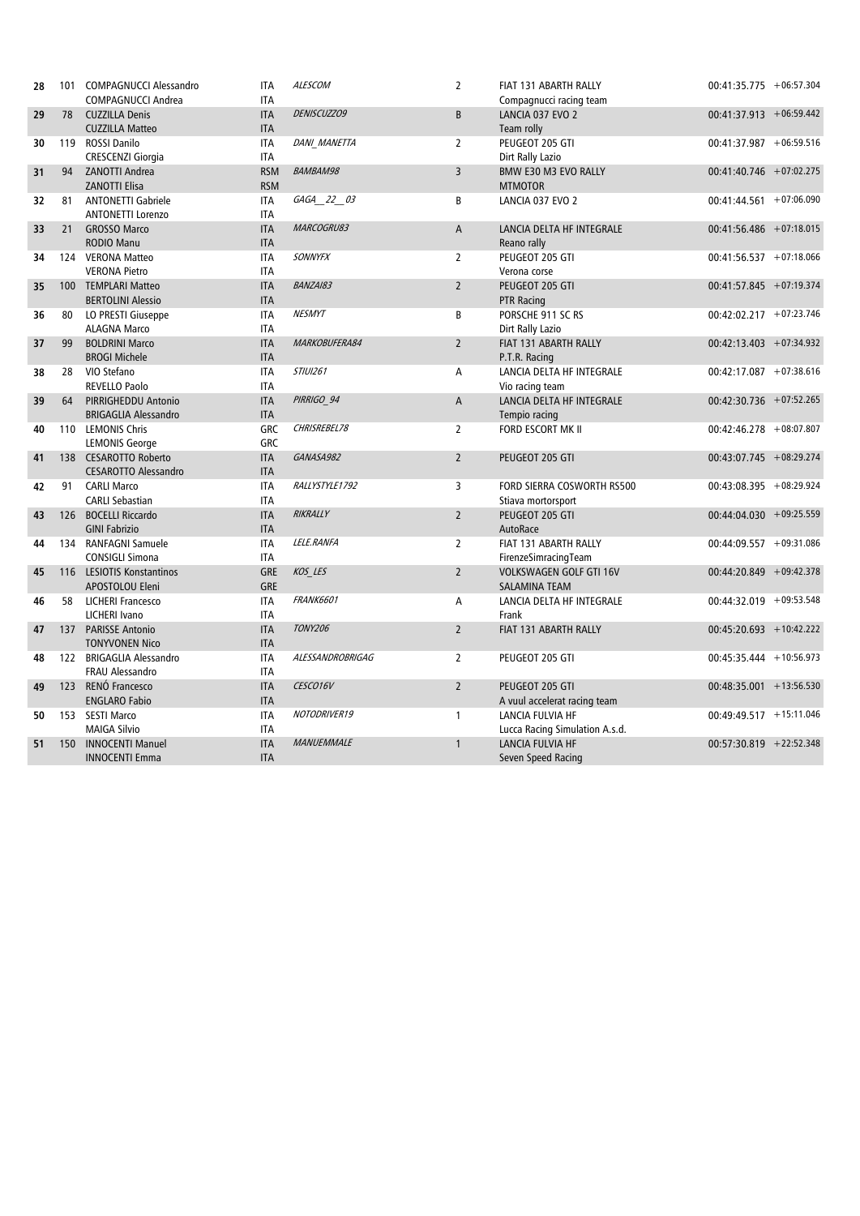| 28 | 101 | <b>COMPAGNUCCI Alessandro</b> | <b>ITA</b> | ALESCOM           | $\overline{2}$ | FIAT 131 ABARTH RALLY          | $00:41:35.775 + 06:57.304$ |  |
|----|-----|-------------------------------|------------|-------------------|----------------|--------------------------------|----------------------------|--|
|    |     | <b>COMPAGNUCCI Andrea</b>     | <b>ITA</b> |                   |                | Compagnucci racing team        |                            |  |
| 29 | 78  | <b>CUZZILLA Denis</b>         | <b>ITA</b> | DENISCUZZO9       | B              | LANCIA 037 EVO 2               | $00:41:37.913 + 06:59.442$ |  |
|    |     | <b>CUZZILLA Matteo</b>        | <b>ITA</b> |                   |                | Team rolly                     |                            |  |
| 30 |     | 119 ROSSI Danilo              | <b>ITA</b> | DANI MANETTA      | $\overline{2}$ | PEUGEOT 205 GTI                | 00:41:37.987 +06:59.516    |  |
|    |     | <b>CRESCENZI Giorgia</b>      | <b>ITA</b> |                   |                | Dirt Rally Lazio               |                            |  |
| 31 | 94  | <b>ZANOTTI Andrea</b>         | <b>RSM</b> | BAMBAM98          | $\overline{3}$ | BMW E30 M3 EVO RALLY           | $00:41:40.746$ +07:02.275  |  |
|    |     | <b>ZANOTTI Elisa</b>          | <b>RSM</b> |                   |                | <b>MTMOTOR</b>                 |                            |  |
| 32 | 81  | <b>ANTONETTI Gabriele</b>     | <b>ITA</b> | GAGA 22 03        | В              | LANCIA 037 EVO 2               | $00:41:44.561 + 07:06.090$ |  |
|    |     | <b>ANTONETTI Lorenzo</b>      | <b>ITA</b> |                   |                |                                |                            |  |
| 33 | 21  | <b>GROSSO Marco</b>           | <b>ITA</b> | MARCOGRU83        | $\sf A$        | LANCIA DELTA HF INTEGRALE      | $00:41:56.486 + 07:18.015$ |  |
|    |     | <b>RODIO Manu</b>             | <b>ITA</b> |                   |                | Reano rally                    |                            |  |
| 34 |     | 124 VERONA Matteo             | <b>ITA</b> | SONNYFX           | $\overline{2}$ | PEUGEOT 205 GTI                | 00:41:56.537 +07:18.066    |  |
|    |     | <b>VERONA Pietro</b>          | <b>ITA</b> |                   |                | Verona corse                   |                            |  |
| 35 |     | 100 TEMPLARI Matteo           | <b>ITA</b> | BANZAI83          | $\overline{2}$ | PEUGEOT 205 GTI                | 00:41:57.845 +07:19.374    |  |
|    |     | <b>BERTOLINI Alessio</b>      | <b>ITA</b> |                   |                | PTR Racing                     |                            |  |
| 36 | 80  | LO PRESTI Giuseppe            | <b>ITA</b> | <b>NESMYT</b>     | B              | PORSCHE 911 SC RS              | $00:42:02.217 +07:23.746$  |  |
|    |     |                               |            |                   |                |                                |                            |  |
|    |     | <b>ALAGNA Marco</b>           | <b>ITA</b> |                   |                | Dirt Rally Lazio               |                            |  |
| 37 | 99  | <b>BOLDRINI Marco</b>         | <b>ITA</b> | MARKOBUFERA84     | $\overline{2}$ | FIAT 131 ABARTH RALLY          | $00:42:13.403 + 07:34.932$ |  |
|    |     | <b>BROGI Michele</b>          | <b>ITA</b> |                   |                | P.T.R. Racing                  |                            |  |
| 38 | 28  | VIO Stefano                   | <b>ITA</b> | <b>STIUI261</b>   | А              | LANCIA DELTA HF INTEGRALE      | $00:42:17.087$ +07:38.616  |  |
|    |     | <b>REVELLO Paolo</b>          | <b>ITA</b> |                   |                | Vio racing team                |                            |  |
| 39 | 64  | PIRRIGHEDDU Antonio           | <b>ITA</b> | PIRRIGO 94        | $\sf A$        | LANCIA DELTA HF INTEGRALE      | $00:42:30.736$ +07:52.265  |  |
|    |     | <b>BRIGAGLIA Alessandro</b>   | <b>ITA</b> |                   |                | Tempio racing                  |                            |  |
| 40 |     | 110 LEMONIS Chris             | GRC        | CHRISREBEL78      | $\overline{2}$ | FORD ESCORT MK II              | 00:42:46.278 +08:07.807    |  |
|    |     | <b>LEMONIS George</b>         | GRC        |                   |                |                                |                            |  |
| 41 |     | 138 CESAROTTO Roberto         | <b>ITA</b> | GANASA982         | $\overline{2}$ | PEUGEOT 205 GTI                | 00:43:07.745 +08:29.274    |  |
|    |     | <b>CESAROTTO Alessandro</b>   | <b>ITA</b> |                   |                |                                |                            |  |
| 42 | 91  | <b>CARLI Marco</b>            | <b>ITA</b> | RALLYSTYLE1792    | 3              | FORD SIERRA COSWORTH RS500     | 00:43:08.395 +08:29.924    |  |
|    |     | <b>CARLI Sebastian</b>        | <b>ITA</b> |                   |                | Stiava mortorsport             |                            |  |
| 43 | 126 | <b>BOCELLI Riccardo</b>       | <b>ITA</b> | RIKRALLY          | $\overline{2}$ | PEUGEOT 205 GTI                | $00:44:04.030 + 09:25.559$ |  |
|    |     | <b>GINI Fabrizio</b>          | <b>ITA</b> |                   |                | AutoRace                       |                            |  |
| 44 | 134 | <b>RANFAGNI Samuele</b>       | <b>ITA</b> | LELE.RANFA        | $\overline{2}$ | FIAT 131 ABARTH RALLY          | 00:44:09.557 +09:31.086    |  |
|    |     | <b>CONSIGLI Simona</b>        | <b>ITA</b> |                   |                | FirenzeSimracingTeam           |                            |  |
|    |     |                               |            | KOS_LES           | $\overline{2}$ |                                | $00:44:20.849 + 09:42.378$ |  |
| 45 |     | 116 LESIOTIS Konstantinos     | <b>GRE</b> |                   |                | <b>VOLKSWAGEN GOLF GTI 16V</b> |                            |  |
|    |     | APOSTOLOU Eleni               | <b>GRE</b> |                   |                | SALAMINA TEAM                  |                            |  |
| 46 | 58  | LICHERI Francesco             | <b>ITA</b> | <b>FRANK6601</b>  | А              | LANCIA DELTA HF INTEGRALE      | 00:44:32.019 +09:53.548    |  |
|    |     | <b>LICHERI Ivano</b>          | <b>ITA</b> |                   |                | Frank                          |                            |  |
| 47 | 137 | <b>PARISSE Antonio</b>        | <b>ITA</b> | <b>TONY206</b>    | $\overline{2}$ | FIAT 131 ABARTH RALLY          | $00:45:20.693 + 10:42.222$ |  |
|    |     | <b>TONYVONEN Nico</b>         | <b>ITA</b> |                   |                |                                |                            |  |
| 48 | 122 | <b>BRIGAGLIA Alessandro</b>   | <b>ITA</b> | ALESSANDROBRIGAG  | $\overline{2}$ | PEUGEOT 205 GTI                | 00:45:35.444 +10:56.973    |  |
|    |     | FRAU Alessandro               | <b>ITA</b> |                   |                |                                |                            |  |
| 49 | 123 | RENÓ Francesco                | <b>ITA</b> | CESCO16V          | $\overline{2}$ | PEUGEOT 205 GTI                | $00:48:35.001$ +13:56.530  |  |
|    |     | <b>ENGLARO Fabio</b>          | <b>ITA</b> |                   |                | A vuul accelerat racing team   |                            |  |
| 50 |     | 153 SESTI Marco               | <b>ITA</b> | NOTODRIVER19      | $\mathbf{1}$   | LANCIA FULVIA HF               | 00:49:49.517 +15:11.046    |  |
|    |     | <b>MAIGA Silvio</b>           | <b>ITA</b> |                   |                | Lucca Racing Simulation A.s.d. |                            |  |
| 51 | 150 | <b>INNOCENTI Manuel</b>       | <b>ITA</b> | <b>MANUEMMALE</b> | $\mathbf{1}$   | LANCIA FULVIA HF               | $00:57:30.819$ +22:52.348  |  |
|    |     | <b>INNOCENTI Emma</b>         | <b>ITA</b> |                   |                | Seven Speed Racing             |                            |  |
|    |     |                               |            |                   |                |                                |                            |  |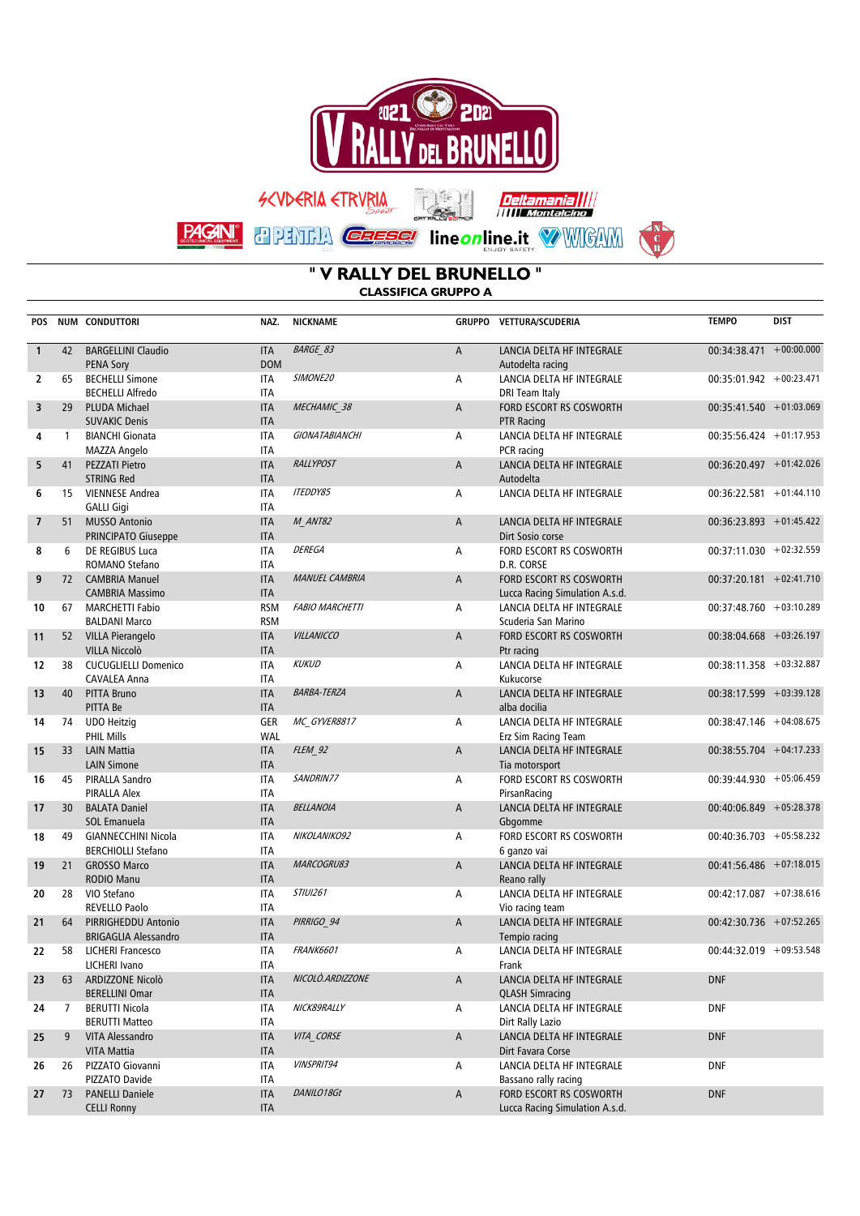

| <mark>Deltamania | | | |</mark><br>| | | | | | Montalcino



C<br>B

# **PACAN PENTHA GELESSE** line online.it WWGAM

### " V RALLY DEL BRUNELLO " **CLASSIFICA GRUPPO A**

M,

| <b>POS</b>               |                | NUM CONDUTTORI              | NAZ.       | <b>NICKNAME</b>        |                | GRUPPO VETTURA/SCUDERIA        | <b>TEMPO</b>               | <b>DIST</b> |
|--------------------------|----------------|-----------------------------|------------|------------------------|----------------|--------------------------------|----------------------------|-------------|
| $\mathbf{1}$             | 42             | <b>BARGELLINI Claudio</b>   | <b>ITA</b> | <b>BARGE 83</b>        | $\mathsf{A}$   | LANCIA DELTA HF INTEGRALE      | $00:34:38.471 + 00:00.000$ |             |
|                          |                | <b>PENA Sory</b>            | <b>DOM</b> |                        |                | Autodelta racing               |                            |             |
| 2                        | 65             | <b>BECHELLI Simone</b>      | <b>ITA</b> | SIMONE20               | А              | LANCIA DELTA HF INTEGRALE      | 00:35:01.942 +00:23.471    |             |
|                          |                | <b>BECHELLI Alfredo</b>     | <b>ITA</b> |                        |                | DRI Team Italy                 |                            |             |
| 3                        | 29             | <b>PLUDA Michael</b>        | <b>ITA</b> | MECHAMIC 38            | $\mathsf A$    | FORD ESCORT RS COSWORTH        | $00:35:41.540 + 01:03.069$ |             |
|                          |                | <b>SUVAKIC Denis</b>        | <b>ITA</b> |                        |                | <b>PTR Racing</b>              |                            |             |
| 4                        | $\overline{1}$ | <b>BIANCHI Gionata</b>      | <b>ITA</b> | <b>GIONATABIANCHI</b>  | А              | LANCIA DELTA HF INTEGRALE      | $00:35:56.424 + 01:17.953$ |             |
|                          |                | MAZZA Angelo                | <b>ITA</b> |                        |                | PCR racing                     |                            |             |
| 5                        | 41             | <b>PEZZATI Pietro</b>       | <b>ITA</b> | <b>RALLYPOST</b>       | $\mathsf A$    | LANCIA DELTA HF INTEGRALE      | $00:36:20.497 + 01:42.026$ |             |
|                          |                | <b>STRING Red</b>           | <b>ITA</b> |                        |                | Autodelta                      |                            |             |
| 6                        | 15             | <b>VIENNESE Andrea</b>      | <b>ITA</b> | <b>ITEDDY85</b>        | А              | LANCIA DELTA HF INTEGRALE      | 00:36:22.581 +01:44.110    |             |
|                          |                | <b>GALLI Gigi</b>           | <b>ITA</b> |                        |                |                                |                            |             |
| $\overline{\phantom{a}}$ | 51             | <b>MUSSO Antonio</b>        | <b>ITA</b> | M_ANT82                | A              | LANCIA DELTA HF INTEGRALE      | $00:36:23.893 + 01:45.422$ |             |
|                          |                | PRINCIPATO Giuseppe         | <b>ITA</b> |                        |                | Dirt Sosio corse               |                            |             |
| 8                        | 6              | DE REGIBUS Luca             | <b>ITA</b> | <b>DEREGA</b>          | А              | FORD ESCORT RS COSWORTH        | $00:37:11.030 + 02:32.559$ |             |
|                          |                | ROMANO Stefano              | <b>ITA</b> |                        |                | D.R. CORSE                     |                            |             |
| 9                        | 72             | <b>CAMBRIA Manuel</b>       | <b>ITA</b> | MANUEL CAMBRIA         | $\sf A$        | FORD ESCORT RS COSWORTH        | $00:37:20.181 + 02:41.710$ |             |
|                          |                | <b>CAMBRIA Massimo</b>      | <b>ITA</b> |                        |                | Lucca Racing Simulation A.s.d. |                            |             |
| 10                       | 67             | <b>MARCHETTI Fabio</b>      | <b>RSM</b> | <b>FABIO MARCHETTI</b> | Α              | LANCIA DELTA HF INTEGRALE      | $00:37:48.760 + 03:10.289$ |             |
|                          |                | <b>BALDANI Marco</b>        | <b>RSM</b> |                        |                | Scuderia San Marino            |                            |             |
| 11                       | 52             | <b>VILLA Pierangelo</b>     | <b>ITA</b> | <b>VILLANICCO</b>      | $\sf A$        | FORD ESCORT RS COSWORTH        | 00:38:04.668 +03:26.197    |             |
|                          |                | <b>VILLA Niccolò</b>        | <b>ITA</b> |                        |                | Ptr racing                     |                            |             |
| 12                       | 38             | <b>CUCUGLIELLI Domenico</b> | <b>ITA</b> | <b>KUKUD</b>           | А              | LANCIA DELTA HF INTEGRALE      | $00:38:11.358 + 03:32.887$ |             |
|                          |                | <b>CAVALEA Anna</b>         | <b>ITA</b> |                        |                | Kukucorse                      |                            |             |
| 13                       | 40             | PITTA Bruno                 | <b>ITA</b> | <b>BARBA-TERZA</b>     | A              | LANCIA DELTA HF INTEGRALE      | $00:38:17.599 + 03:39.128$ |             |
|                          |                | PITTA Be                    | <b>ITA</b> |                        |                | alba docilia                   |                            |             |
| 14                       | 74             | <b>UDO Heitzig</b>          | GER        | MC GYVER8817           | А              | LANCIA DELTA HF INTEGRALE      | $00:38:47.146 + 04:08.675$ |             |
|                          |                | <b>PHIL Mills</b>           | <b>WAL</b> |                        |                | Erz Sim Racing Team            |                            |             |
| 15                       | 33             | <b>LAIN Mattia</b>          | <b>ITA</b> | FLEM 92                | $\sf A$        | LANCIA DELTA HF INTEGRALE      | $00:38:55.704 + 04:17.233$ |             |
|                          |                | <b>LAIN Simone</b>          | <b>ITA</b> |                        |                | Tia motorsport                 |                            |             |
| 16                       | 45             | PIRALLA Sandro              | <b>ITA</b> | SANDRIN77              | А              | FORD ESCORT RS COSWORTH        | 00:39:44.930 +05:06.459    |             |
|                          |                | PIRALLA Alex                | <b>ITA</b> |                        |                | PirsanRacing                   |                            |             |
| 17                       | 30             | <b>BALATA Daniel</b>        | <b>ITA</b> | <b>BELLANOIA</b>       | A              | LANCIA DELTA HF INTEGRALE      | $00:40:06.849 + 05:28.378$ |             |
|                          |                | <b>SOL Emanuela</b>         | <b>ITA</b> |                        |                | Gbgomme                        |                            |             |
| 18                       | 49             | GIANNECCHINI Nicola         | <b>ITA</b> | NIKOLANIKO92           | А              | FORD ESCORT RS COSWORTH        | $00:40:36.703 + 05:58.232$ |             |
|                          |                | <b>BERCHIOLLI Stefano</b>   | <b>ITA</b> |                        |                | 6 ganzo vai                    |                            |             |
| 19                       | 21             | <b>GROSSO Marco</b>         | <b>ITA</b> | MARCOGRU83             | A              | LANCIA DELTA HF INTEGRALE      | $00:41:56.486 + 07:18.015$ |             |
|                          |                | <b>RODIO Manu</b>           | <b>ITA</b> |                        |                | Reano rally                    |                            |             |
| 20                       | 28             | VIO Stefano                 | <b>ITA</b> | <b>STIUI261</b>        | А              | LANCIA DELTA HF INTEGRALE      | $00:42:17.087$ +07:38.616  |             |
|                          |                | <b>REVELLO Paolo</b>        | <b>ITA</b> |                        |                | Vio racing team                |                            |             |
| 21                       | 64             | PIRRIGHEDDU Antonio         | <b>ITA</b> | PIRRIGO 94             | $\overline{A}$ | LANCIA DELTA HF INTEGRALE      | 00:42:30.736 +07:52.265    |             |
|                          |                | <b>BRIGAGLIA Alessandro</b> | <b>ITA</b> |                        |                | Tempio racing                  |                            |             |
| 22                       | 58             | LICHERI Francesco           | <b>ITA</b> | <b>FRANK6601</b>       | А              | LANCIA DELTA HF INTEGRALE      | 00:44:32.019 +09:53.548    |             |
|                          |                | LICHERI Ivano               | <b>ITA</b> |                        |                | Frank                          |                            |             |
| 23                       |                | 63 ARDIZZONE Nicolò         | <b>ITA</b> | NICOLO.ARDIZZONE       | A              | LANCIA DELTA HF INTEGRALE      | <b>DNF</b>                 |             |
|                          |                | <b>BERELLINI Omar</b>       | <b>ITA</b> |                        |                | <b>QLASH Simracing</b>         |                            |             |
| 24                       | 7              | <b>BERUTTI Nicola</b>       | ITA        | NICK89RALLY            | Α              | LANCIA DELTA HF INTEGRALE      | <b>DNF</b>                 |             |
|                          |                | <b>BERUTTI Matteo</b>       | ITA        |                        |                | Dirt Rally Lazio               |                            |             |
| 25                       | 9              | VITA Alessandro             | ITA        | VITA CORSE             | A              | LANCIA DELTA HF INTEGRALE      | <b>DNF</b>                 |             |
|                          |                | <b>VITA Mattia</b>          | <b>ITA</b> |                        |                | Dirt Favara Corse              |                            |             |
| 26                       | 26             | PIZZATO Giovanni            | ITA        | <b>VINSPRIT94</b>      | Α              | LANCIA DELTA HF INTEGRALE      | <b>DNF</b>                 |             |
|                          |                | PIZZATO Davide              | ITA        |                        |                | Bassano rally racing           |                            |             |
| 27                       | 73             | <b>PANELLI Daniele</b>      | <b>ITA</b> | DANILO18Gt             | A              | FORD ESCORT RS COSWORTH        | <b>DNF</b>                 |             |
|                          |                | <b>CELLI Ronny</b>          | ITA        |                        |                | Lucca Racing Simulation A.s.d. |                            |             |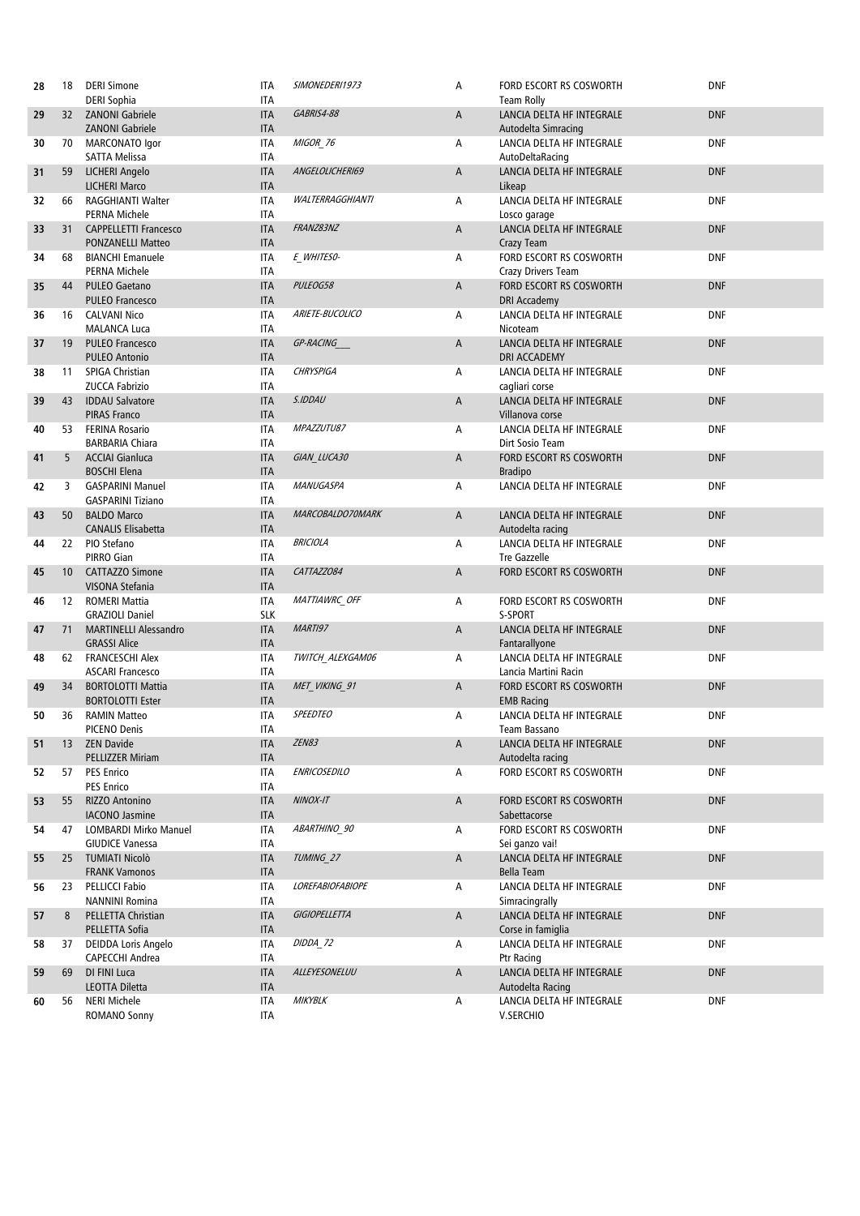| 28 | 18 | <b>DERI Simone</b><br><b>DERI Sophia</b>                 | <b>ITA</b><br><b>ITA</b> | SIMONEDERI1973          | А | FORD ESCORT RS COSWORTH<br><b>Team Rolly</b>           | <b>DNF</b> |
|----|----|----------------------------------------------------------|--------------------------|-------------------------|---|--------------------------------------------------------|------------|
| 29 | 32 | <b>ZANONI Gabriele</b><br><b>ZANONI Gabriele</b>         | <b>ITA</b><br><b>ITA</b> | <b>GABRIS4-88</b>       | А | LANCIA DELTA HF INTEGRALE<br>Autodelta Simracing       | <b>DNF</b> |
| 30 | 70 | MARCONATO Igor<br>SATTA Melissa                          | ITA<br><b>ITA</b>        | MIGOR 76                | А | LANCIA DELTA HF INTEGRALE                              | <b>DNF</b> |
| 31 | 59 | LICHERI Angelo<br><b>LICHERI Marco</b>                   | <b>ITA</b><br><b>ITA</b> | ANGELOLICHERI69         | Α | AutoDeltaRacing<br>LANCIA DELTA HF INTEGRALE<br>Likeap | <b>DNF</b> |
| 32 | 66 | RAGGHIANTI Walter<br>PERNA Michele                       | ITA<br><b>ITA</b>        | <b>WALTERRAGGHIANTI</b> | А | LANCIA DELTA HF INTEGRALE<br>Losco garage              | <b>DNF</b> |
| 33 | 31 | <b>CAPPELLETTI Francesco</b><br><b>PONZANELLI Matteo</b> | <b>ITA</b><br><b>ITA</b> | FRANZ83NZ               | А | LANCIA DELTA HF INTEGRALE<br>Crazy Team                | <b>DNF</b> |
| 34 | 68 | <b>BIANCHI Emanuele</b><br>PERNA Michele                 | <b>ITA</b><br>ITA        | E WHITESO-              | Α | FORD ESCORT RS COSWORTH                                | <b>DNF</b> |
| 35 | 44 | <b>PULEO Gaetano</b><br><b>PULEO Francesco</b>           | <b>ITA</b><br><b>ITA</b> | PULEOG58                | A | Crazy Drivers Team<br>FORD ESCORT RS COSWORTH          | <b>DNF</b> |
| 36 | 16 | <b>CALVANI Nico</b>                                      | ITA                      | ARIETE-BUCOLICO         | А | <b>DRI Accademy</b><br>LANCIA DELTA HF INTEGRALE       | <b>DNF</b> |
| 37 | 19 | <b>MALANCA Luca</b><br><b>PULEO Francesco</b>            | <b>ITA</b><br><b>ITA</b> | GP-RACING               | A | Nicoteam<br>LANCIA DELTA HF INTEGRALE                  | <b>DNF</b> |
| 38 | 11 | <b>PULEO Antonio</b><br>SPIGA Christian                  | <b>ITA</b><br><b>ITA</b> | <b>CHRYSPIGA</b>        | А | <b>DRI ACCADEMY</b><br>LANCIA DELTA HF INTEGRALE       | <b>DNF</b> |
| 39 | 43 | ZUCCA Fabrizio<br><b>IDDAU Salvatore</b>                 | ITA<br><b>ITA</b>        | S.IDDAU                 | A | cagliari corse<br>LANCIA DELTA HF INTEGRALE            | <b>DNF</b> |
| 40 | 53 | <b>PIRAS Franco</b><br><b>FERINA Rosario</b>             | <b>ITA</b><br><b>ITA</b> | MPAZZUTU87              | Α | Villanova corse<br>LANCIA DELTA HF INTEGRALE           | <b>DNF</b> |
| 41 | 5  | <b>BARBARIA Chiara</b><br><b>ACCIAI Gianluca</b>         | <b>ITA</b><br><b>ITA</b> | GIAN LUCA30             | Α | Dirt Sosio Team<br>FORD ESCORT RS COSWORTH             | <b>DNF</b> |
| 42 | 3  | <b>BOSCHI Elena</b><br><b>GASPARINI Manuel</b>           | <b>ITA</b><br>ITA        | MANUGASPA               | Α | <b>Bradipo</b><br>LANCIA DELTA HF INTEGRALE            | <b>DNF</b> |
|    |    | <b>GASPARINI Tiziano</b>                                 | <b>ITA</b>               | MARCOBALDO70MARK        |   |                                                        | <b>DNF</b> |
| 43 | 50 | <b>BALDO Marco</b><br><b>CANALIS Elisabetta</b>          | <b>ITA</b><br><b>ITA</b> |                         | A | LANCIA DELTA HF INTEGRALE<br>Autodelta racing          |            |
| 44 | 22 | PIO Stefano<br>PIRRO Gian                                | <b>ITA</b><br>ITA        | BRICIOLA                | Α | LANCIA DELTA HF INTEGRALE<br><b>Tre Gazzelle</b>       | <b>DNF</b> |
| 45 | 10 | <b>CATTAZZO Simone</b><br>VISONA Stefania                | <b>ITA</b><br><b>ITA</b> | CATTAZZO84              | А | FORD ESCORT RS COSWORTH                                | <b>DNF</b> |
| 46 | 12 | <b>ROMERI Mattia</b><br><b>GRAZIOLI Daniel</b>           | <b>ITA</b><br><b>SLK</b> | MATTIAWRC_OFF           | А | FORD ESCORT RS COSWORTH<br><b>S-SPORT</b>              | DNF        |
| 47 | 71 | <b>MARTINELLI Alessandro</b><br><b>GRASSI Alice</b>      | <b>ITA</b><br><b>ITA</b> | MARTI97                 | A | LANCIA DELTA HF INTEGRALE<br>Fantarallyone             | <b>DNF</b> |
| 48 | 62 | <b>FRANCESCHI Alex</b><br><b>ASCARI Francesco</b>        | ITA<br><b>ITA</b>        | TWITCH ALEXGAM06        | А | LANCIA DELTA HF INTEGRALE<br>Lancia Martini Racin      | <b>DNF</b> |
| 49 | 34 | <b>BORTOLOTTI Mattia</b><br><b>BORTOLOTTI Ester</b>      | <b>ITA</b><br><b>ITA</b> | MET VIKING 91           | A | <b>FORD ESCORT RS COSWORTH</b><br><b>EMB Racing</b>    | <b>DNF</b> |
| 50 | 36 | <b>RAMIN Matteo</b><br><b>PICENO Denis</b>               | ITA<br>ITA               | <b>SPEEDTEO</b>         | А | LANCIA DELTA HF INTEGRALE<br>Team Bassano              | <b>DNF</b> |
| 51 | 13 | <b>ZEN Davide</b><br>PELLIZZER Miriam                    | <b>ITA</b><br><b>ITA</b> | <b>ZEN83</b>            | Α | LANCIA DELTA HF INTEGRALE<br>Autodelta racing          | <b>DNF</b> |
| 52 | 57 | <b>PES Enrico</b><br><b>PES Enrico</b>                   | ITA<br><b>ITA</b>        | ENRICOSEDILO            | А | FORD ESCORT RS COSWORTH                                | <b>DNF</b> |
| 53 | 55 | <b>RIZZO Antonino</b><br><b>IACONO Jasmine</b>           | <b>ITA</b><br><b>ITA</b> | NINOX-IT                | A | FORD ESCORT RS COSWORTH<br>Sabettacorse                | <b>DNF</b> |
| 54 | 47 | <b>LOMBARDI Mirko Manuel</b><br><b>GIUDICE Vanessa</b>   | <b>ITA</b><br>ITA        | ABARTHINO 90            | Α | FORD ESCORT RS COSWORTH<br>Sei ganzo vai!              | <b>DNF</b> |
| 55 | 25 | TUMIATI Nicolò<br><b>FRANK Vamonos</b>                   | <b>ITA</b><br><b>ITA</b> | TUMING 27               | А | LANCIA DELTA HF INTEGRALE<br>Bella Team                | <b>DNF</b> |
| 56 | 23 | PELLICCI Fabio                                           | ITA                      | <i>LOREFABIOFABIOPE</i> | А | LANCIA DELTA HF INTEGRALE                              | <b>DNF</b> |
| 57 | 8  | <b>NANNINI Romina</b><br>PELLETTA Christian              | <b>ITA</b><br><b>ITA</b> | GIGIOPELLETTA           | A | Simracingrally<br>LANCIA DELTA HF INTEGRALE            | <b>DNF</b> |
| 58 | 37 | PELLETTA Sofia<br>DEIDDA Loris Angelo                    | <b>ITA</b><br>ITA        | DIDDA 72                | Α | Corse in famiglia<br>LANCIA DELTA HF INTEGRALE         | <b>DNF</b> |
| 59 | 69 | CAPECCHI Andrea<br>DI FINI Luca                          | ITA<br><b>ITA</b>        | ALLEYESONELUU           | A | Ptr Racing<br>LANCIA DELTA HF INTEGRALE                | <b>DNF</b> |
| 60 | 56 | <b>LEOTTA Diletta</b><br><b>NERI Michele</b>             | <b>ITA</b><br>ITA        | <b>MIKYBLK</b>          | А | Autodelta Racing<br>LANCIA DELTA HF INTEGRALE          | <b>DNF</b> |
|    |    | <b>ROMANO Sonny</b>                                      | ITA                      |                         |   | V.SERCHIO                                              |            |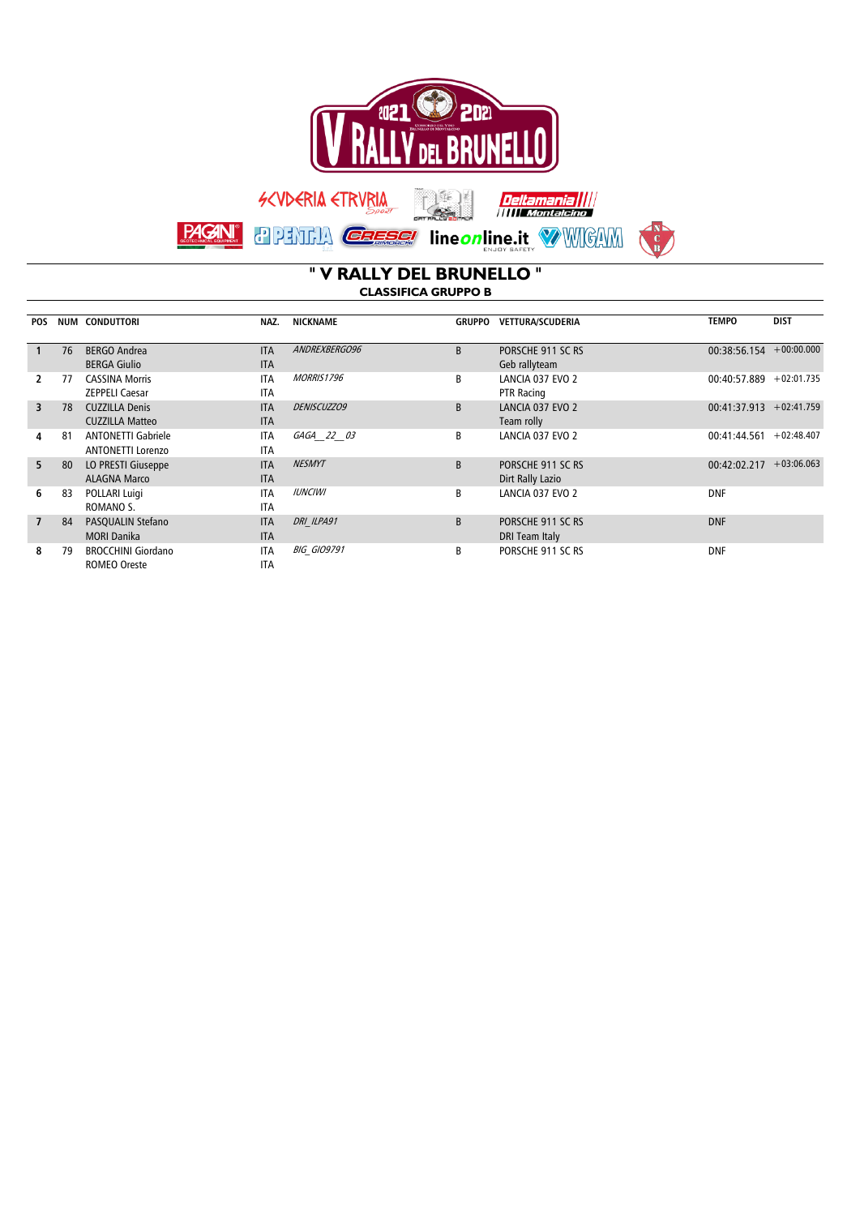

| <mark>Deltamania | | |</mark> |<br>| | | | | | Montalcino  $\cdot$ 

**PAGN** PPMHA Garser lineonline.it WWGAM



**" V RALLY DEL BRUNELLO " CLASSIFICA GRUPPO B**

| <b>POS</b>     |    | NUM CONDUTTORI            | NAZ.       | <b>NICKNAME</b>    | <b>GRUPPO</b> | <b>VETTURA/SCUDERIA</b> | <b>TEMPO</b>               | <b>DIST</b>  |
|----------------|----|---------------------------|------------|--------------------|---------------|-------------------------|----------------------------|--------------|
|                | 76 | <b>BERGO Andrea</b>       | <b>ITA</b> | ANDREXBERGO96      | B             | PORSCHE 911 SC RS       | $00:38:56.154 + 00:00.000$ |              |
|                |    | <b>BERGA Giulio</b>       | <b>ITA</b> |                    |               | Geb rallyteam           |                            |              |
|                | 77 | <b>CASSINA Morris</b>     | <b>ITA</b> | <b>MORRIS1796</b>  | В             | LANCIA 037 EVO 2        | $00:40:57.889 + 02:01.735$ |              |
|                |    | <b>ZEPPELI Caesar</b>     | <b>ITA</b> |                    |               | PTR Racing              |                            |              |
| 3              | 78 | <b>CUZZILLA Denis</b>     | <b>ITA</b> | DENISCUZZO9        | B             | LANCIA 037 EVO 2        | $00:41:37.913 + 02:41.759$ |              |
|                |    | <b>CUZZILLA Matteo</b>    | <b>ITA</b> |                    |               | Team rolly              |                            |              |
| 4              | 81 | <b>ANTONETTI Gabriele</b> | <b>ITA</b> | GAGA 22 03         | В             | LANCIA 037 EVO 2        | 00:41:44.561               | $+02:48.407$ |
|                |    | <b>ANTONETTI Lorenzo</b>  | <b>ITA</b> |                    |               |                         |                            |              |
| 5              | 80 | LO PRESTI Giuseppe        | <b>ITA</b> | <b>NESMYT</b>      | B             | PORSCHE 911 SC RS       | 00:42:02.217               | $+03:06.063$ |
|                |    | <b>ALAGNA Marco</b>       | <b>ITA</b> |                    |               | Dirt Rally Lazio        |                            |              |
| 6              | 83 | POLLARI Luigi             | <b>ITA</b> | <b>IUNCIWI</b>     | В             | LANCIA 037 EVO 2        | <b>DNF</b>                 |              |
|                |    | ROMANO S.                 | <b>ITA</b> |                    |               |                         |                            |              |
| $\overline{7}$ | 84 | PASQUALIN Stefano         | <b>ITA</b> | DRI ILPA91         | B             | PORSCHE 911 SC RS       | <b>DNF</b>                 |              |
|                |    | <b>MORI Danika</b>        | <b>ITA</b> |                    |               | DRI Team Italy          |                            |              |
| 8              | 79 | <b>BROCCHINI Giordano</b> | <b>ITA</b> | <b>BIG GIO9791</b> | В             | PORSCHE 911 SC RS       | <b>DNF</b>                 |              |
|                |    | ROMEO Oreste              | <b>ITA</b> |                    |               |                         |                            |              |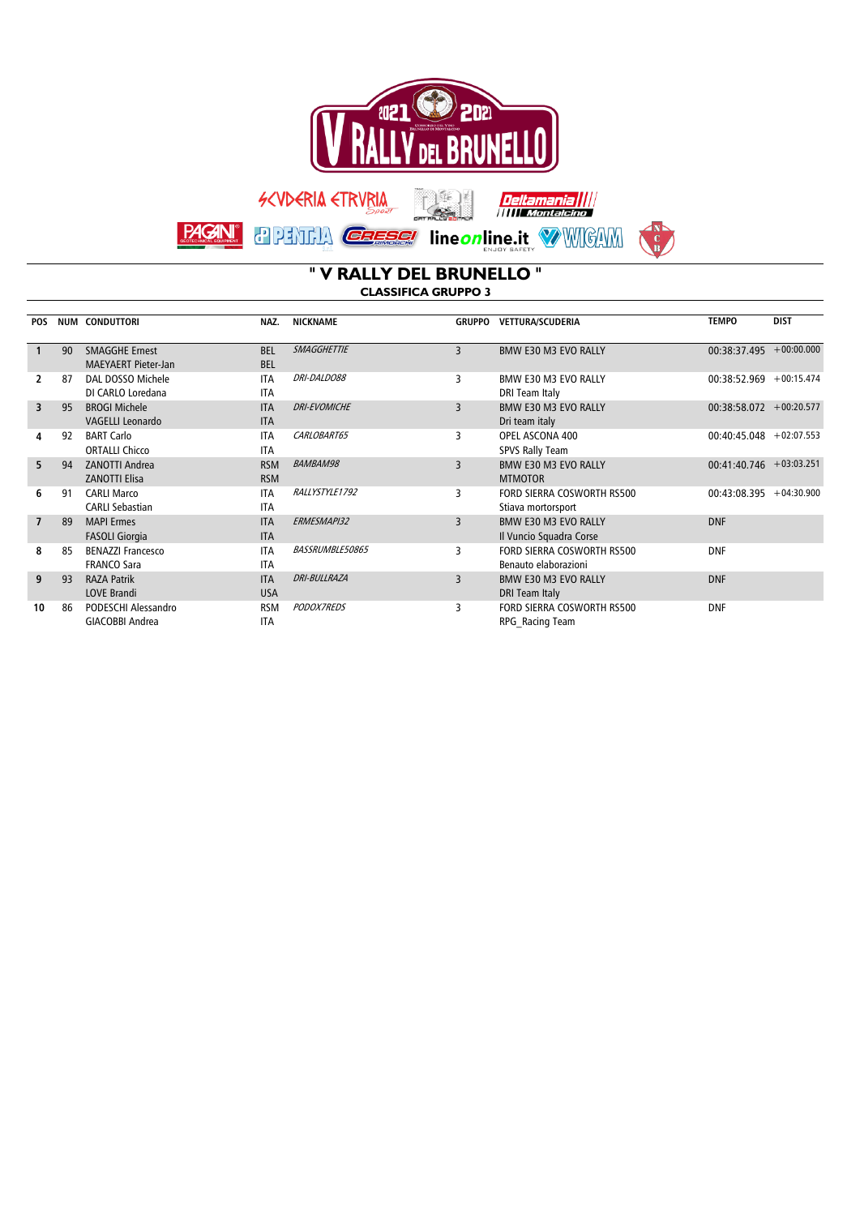

| <mark>Deltamania | | |</mark> |<br>| | | | | | Montalcino

**PACIN' & PENTHA CRESSE** line on line.it WWGAM



" V RALLY DEL BRUNELLO " **CLASSIFICA GRUPPO 3** 

| <b>POS</b>     |    | NUM CONDUTTORI             | NAZ.       | <b>NICKNAME</b>     | <b>GRUPPO</b> | <b>VETTURA/SCUDERIA</b>     | <b>TEMPO</b>               | <b>DIST</b> |
|----------------|----|----------------------------|------------|---------------------|---------------|-----------------------------|----------------------------|-------------|
|                |    |                            |            |                     |               |                             |                            |             |
|                | 90 | <b>SMAGGHE Ernest</b>      | <b>BEL</b> | <b>SMAGGHETTIE</b>  | 3             | BMW E30 M3 EVO RALLY        | $00:38:37.495 + 00:00.000$ |             |
|                |    | <b>MAEYAERT Pieter-Jan</b> | <b>BEL</b> |                     |               |                             |                            |             |
|                | 87 | DAL DOSSO Michele          | <b>ITA</b> | <b>DRI-DALDO88</b>  | 3             | BMW E30 M3 EVO RALLY        | $00:38:52.969 + 00:15.474$ |             |
|                |    | DI CARLO Loredana          | <b>ITA</b> |                     |               | DRI Team Italy              |                            |             |
| 3              | 95 | <b>BROGI Michele</b>       | <b>ITA</b> | <b>DRI-EVOMICHE</b> | 3             | BMW E30 M3 EVO RALLY        | $00:38:58.072 + 00:20.577$ |             |
|                |    | <b>VAGELLI Leonardo</b>    | <b>ITA</b> |                     |               | Dri team italy              |                            |             |
| 4              | 92 | <b>BART Carlo</b>          | <b>ITA</b> | CARLOBART65         | 3             | OPEL ASCONA 400             | $00:40:45.048 + 02:07.553$ |             |
|                |    | <b>ORTALLI Chicco</b>      | <b>ITA</b> |                     |               | SPVS Rally Team             |                            |             |
| 5              | 94 | <b>ZANOTTI Andrea</b>      | <b>RSM</b> | <b>BAMBAM98</b>     | 3             | BMW E30 M3 EVO RALLY        | $00:41:40.746 + 03:03.251$ |             |
|                |    | <b>ZANOTTI Elisa</b>       | <b>RSM</b> |                     |               | <b>MTMOTOR</b>              |                            |             |
| 6              | 91 | <b>CARLI Marco</b>         | <b>ITA</b> | RALLYSTYLE1792      | 3             | FORD SIERRA COSWORTH RS500  | $00:43:08.395 + 04:30.900$ |             |
|                |    | <b>CARLI Sebastian</b>     | <b>ITA</b> |                     |               | Stiava mortorsport          |                            |             |
| $\overline{7}$ | 89 | <b>MAPI Ermes</b>          | <b>ITA</b> | ERMESMAPI32         | 3             | BMW E30 M3 EVO RALLY        | <b>DNF</b>                 |             |
|                |    | <b>FASOLI Giorgia</b>      | <b>ITA</b> |                     |               | Il Vuncio Squadra Corse     |                            |             |
| 8              | 85 | <b>BENAZZI Francesco</b>   | <b>ITA</b> | BASSRUMBLE50865     | 3             | FORD SIERRA COSWORTH RS500  | <b>DNF</b>                 |             |
|                |    | <b>FRANCO Sara</b>         | <b>ITA</b> |                     |               | Benauto elaborazioni        |                            |             |
| 9              | 93 | <b>RAZA Patrik</b>         | <b>ITA</b> | <b>DRI-BULLRAZA</b> | 3             | <b>BMW E30 M3 EVO RALLY</b> | <b>DNF</b>                 |             |
|                |    | <b>LOVE Brandi</b>         | <b>USA</b> |                     |               | DRI Team Italy              |                            |             |
| 10             | 86 | PODESCHI Alessandro        | <b>RSM</b> | <b>PODOX7REDS</b>   | 3             | FORD SIERRA COSWORTH RS500  | <b>DNF</b>                 |             |
|                |    | <b>GIACOBBI Andrea</b>     | <b>ITA</b> |                     |               | RPG Racing Team             |                            |             |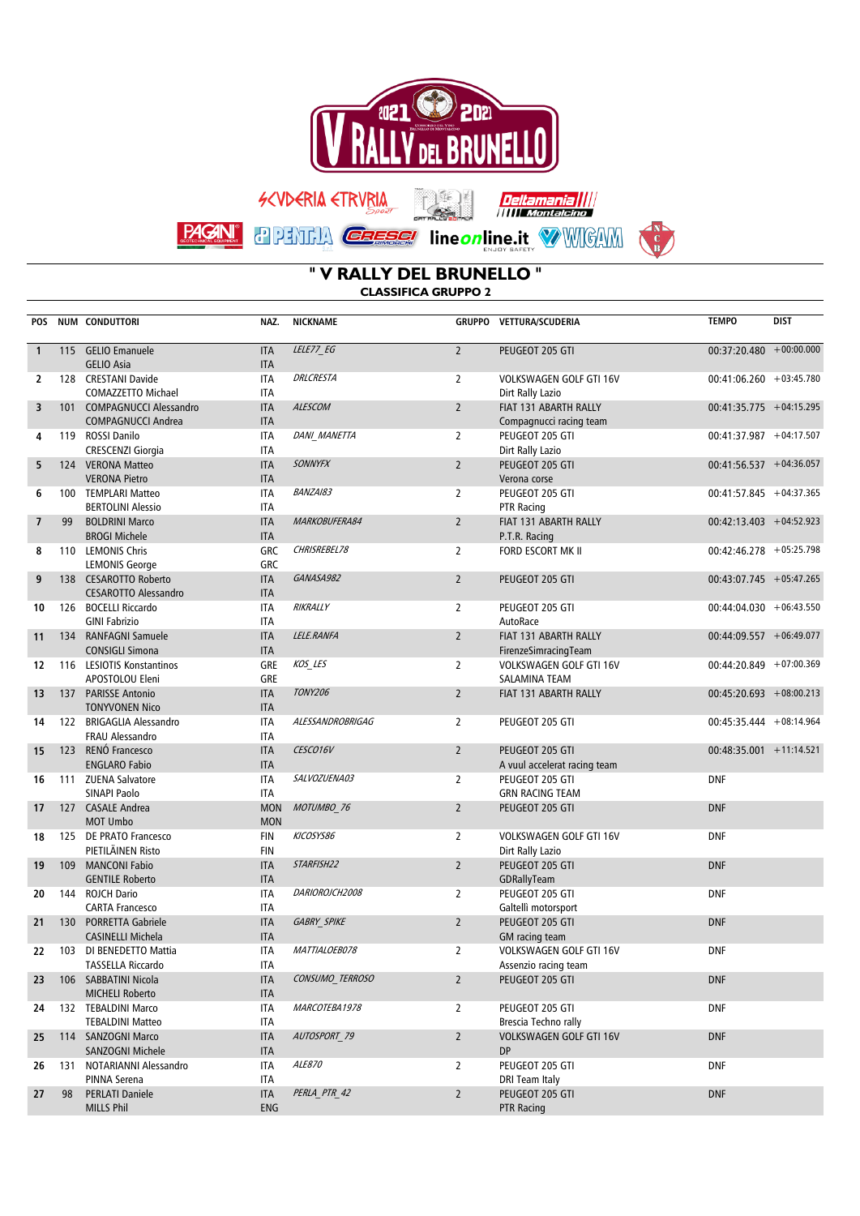

| <mark>Deltamania | | |</mark> |<br>| | | | | | Montalcino

SEVDERIA ETRVRIA

 $\left| \frac{d}{dx} \right|^2$ 

**PACAN PENTHA GELESSE** line online.it WWGAM



### " V RALLY DEL BRUNELLO " **CLASSIFICA GRUPPO 2**

ÑŢ,

| <b>POS</b>               |     | <b>NUM CONDUTTORI</b>                                   | NAZ.                     | <b>NICKNAME</b>    |                | GRUPPO VETTURA/SCUDERIA                          | <b>TEMPO</b>               | <b>DIST</b> |
|--------------------------|-----|---------------------------------------------------------|--------------------------|--------------------|----------------|--------------------------------------------------|----------------------------|-------------|
| $\mathbf{1}$             |     | 115 GELIO Emanuele<br><b>GELIO Asia</b>                 | <b>ITA</b><br><b>ITA</b> | LELE77_EG          | $\overline{2}$ | PEUGEOT 205 GTI                                  | $00:37:20.480 + 00:00.000$ |             |
| 2                        |     | 128 CRESTANI Davide<br>COMAZZETTO Michael               | <b>ITA</b><br><b>ITA</b> | DRLCRESTA          | $\overline{2}$ | VOLKSWAGEN GOLF GTI 16V<br>Dirt Rally Lazio      | $00:41:06.260 + 03:45.780$ |             |
| 3                        |     | 101 COMPAGNUCCI Alessandro<br><b>COMPAGNUCCI Andrea</b> | <b>ITA</b><br><b>ITA</b> | ALESCOM            | $\overline{2}$ | FIAT 131 ABARTH RALLY<br>Compagnucci racing team | 00:41:35.775 +04:15.295    |             |
| 4                        |     | 119 ROSSI Danilo<br><b>CRESCENZI Giorgia</b>            | <b>ITA</b><br><b>ITA</b> | DANI MANETTA       | $\overline{2}$ | PEUGEOT 205 GTI<br>Dirt Rally Lazio              | 00:41:37.987 +04:17.507    |             |
| 5                        |     | 124 VERONA Matteo<br><b>VERONA Pietro</b>               | <b>ITA</b><br><b>ITA</b> | <b>SONNYFX</b>     | $\overline{2}$ | PEUGEOT 205 GTI<br>Verona corse                  | $00:41:56.537 + 04:36.057$ |             |
| 6                        | 100 | <b>TEMPLARI Matteo</b><br><b>BERTOLINI Alessio</b>      | <b>ITA</b><br>ITA        | BANZAI83           | $\overline{2}$ | PEUGEOT 205 GTI<br>PTR Racing                    | $00:41:57.845 + 04:37.365$ |             |
| $\overline{\phantom{a}}$ | 99  | <b>BOLDRINI Marco</b><br><b>BROGI Michele</b>           | <b>ITA</b><br><b>ITA</b> | MARKOBUFERA84      | $\overline{2}$ | FIAT 131 ABARTH RALLY<br>P.T.R. Racing           | $00:42:13.403 + 04:52.923$ |             |
| 8                        | 110 | <b>LEMONIS Chris</b><br><b>LEMONIS George</b>           | GRC<br>GRC               | CHRISREBEL78       | $\overline{2}$ | FORD ESCORT MK II                                | $00:42:46.278 + 05:25.798$ |             |
| 9                        |     | 138 CESAROTTO Roberto<br><b>CESAROTTO Alessandro</b>    | <b>ITA</b><br><b>ITA</b> | GANASA982          | $\overline{2}$ | PEUGEOT 205 GTI                                  | $00:43:07.745 + 05:47.265$ |             |
| 10                       |     | 126 BOCELLI Riccardo<br><b>GINI Fabrizio</b>            | <b>ITA</b><br><b>ITA</b> | RIKRALLY           | $\overline{2}$ | PEUGEOT 205 GTI<br>AutoRace                      | $00:44:04.030 + 06:43.550$ |             |
| 11                       | 134 | <b>RANFAGNI Samuele</b><br><b>CONSIGLI Simona</b>       | <b>ITA</b><br><b>ITA</b> | LELE.RANFA         | $\overline{2}$ | FIAT 131 ABARTH RALLY<br>FirenzeSimracingTeam    | $00:44:09.557 + 06:49.077$ |             |
| 12                       |     | 116 LESIOTIS Konstantinos<br>APOSTOLOU Eleni            | GRE<br>GRE               | KOS_LES            | $\overline{2}$ | VOLKSWAGEN GOLF GTI 16V<br>SALAMINA TEAM         | 00:44:20.849 +07:00.369    |             |
| 13                       |     | 137 PARISSE Antonio<br><b>TONYVONEN Nico</b>            | <b>ITA</b><br><b>ITA</b> | <b>TONY206</b>     | $\overline{2}$ | FIAT 131 ABARTH RALLY                            | $00:45:20.693 + 08:00.213$ |             |
| 14                       | 122 | <b>BRIGAGLIA Alessandro</b><br>FRAU Alessandro          | <b>ITA</b><br><b>ITA</b> | ALESSANDROBRIGAG   | $\overline{2}$ | PEUGEOT 205 GTI                                  | 00:45:35.444 +08:14.964    |             |
| 15                       |     | 123 RENÓ Francesco<br><b>ENGLARO Fabio</b>              | <b>ITA</b><br><b>ITA</b> | CESCO16V           | $\overline{2}$ | PEUGEOT 205 GTI<br>A vuul accelerat racing team  | $00:48:35.001 + 11:14.521$ |             |
| 16                       | 111 | ZUENA Salvatore<br>SINAPI Paolo                         | <b>ITA</b><br><b>ITA</b> | SALVOZUENA03       | $\overline{2}$ | PEUGEOT 205 GTI<br><b>GRN RACING TEAM</b>        | <b>DNF</b>                 |             |
| 17                       |     | 127 CASALE Andrea<br><b>MOT Umbo</b>                    | <b>MON</b><br><b>MON</b> | MOTUMBO 76         | $\overline{2}$ | PEUGEOT 205 GTI                                  | <b>DNF</b>                 |             |
| 18                       |     | 125 DE PRATO Francesco<br>PIETILÄINEN Risto             | <b>FIN</b><br><b>FIN</b> | KICOSYS86          | $\overline{2}$ | VOLKSWAGEN GOLF GTI 16V<br>Dirt Rally Lazio      | <b>DNF</b>                 |             |
| 19                       |     | 109 MANCONI Fabio<br><b>GENTILE Roberto</b>             | <b>ITA</b><br><b>ITA</b> | STARFISH22         | $\overline{2}$ | PEUGEOT 205 GTI<br>GDRallyTeam                   | <b>DNF</b>                 |             |
| 20                       |     | 144 ROJCH Dario<br><b>CARTA Francesco</b>               | <b>ITA</b><br><b>ITA</b> | DARIOROJCH2008     | $\overline{2}$ | PEUGEOT 205 GTI<br>Galtelli motorsport           | <b>DNF</b>                 |             |
| 21                       |     | 130 PORRETTA Gabriele<br>CASINELLI Michela              | <b>ITA</b><br><b>ITA</b> | <b>GABRY SPIKE</b> | $\overline{2}$ | PEUGEOT 205 GTI<br>GM racing team                | <b>DNF</b>                 |             |
| 22                       |     | 103 DI BENEDETTO Mattia<br><b>TASSELLA Riccardo</b>     | <b>ITA</b><br><b>ITA</b> | MATTIALOEB078      | $\overline{2}$ | VOLKSWAGEN GOLF GTI 16V<br>Assenzio racing team  | <b>DNF</b>                 |             |
| 23                       |     | 106 SABBATINI Nicola<br><b>MICHELI Roberto</b>          | <b>ITA</b><br><b>ITA</b> | CONSUMO TERROSO    | $\overline{2}$ | PEUGEOT 205 GTI                                  | <b>DNF</b>                 |             |
| 24                       |     | 132 TEBALDINI Marco<br><b>TEBALDINI Matteo</b>          | ITA<br>ITA               | MARCOTEBA1978      | $\overline{2}$ | PEUGEOT 205 GTI<br>Brescia Techno rally          | <b>DNF</b>                 |             |
| 25                       |     | 114 SANZOGNI Marco<br><b>SANZOGNI Michele</b>           | <b>ITA</b><br><b>ITA</b> | AUTOSPORT 79       | $\overline{2}$ | <b>VOLKSWAGEN GOLF GTI 16V</b><br><b>DP</b>      | <b>DNF</b>                 |             |
| 26                       | 131 | NOTARIANNI Alessandro<br>PINNA Serena                   | ITA<br>ITA               | ALE870             | $\overline{2}$ | PEUGEOT 205 GTI<br>DRI Team Italy                | <b>DNF</b>                 |             |
| 27                       | 98  | <b>PERLATI Daniele</b><br><b>MILLS Phil</b>             | <b>ITA</b><br>ENG        | PERLA_PTR_42       | $\overline{2}$ | PEUGEOT 205 GTI<br><b>PTR Racing</b>             | <b>DNF</b>                 |             |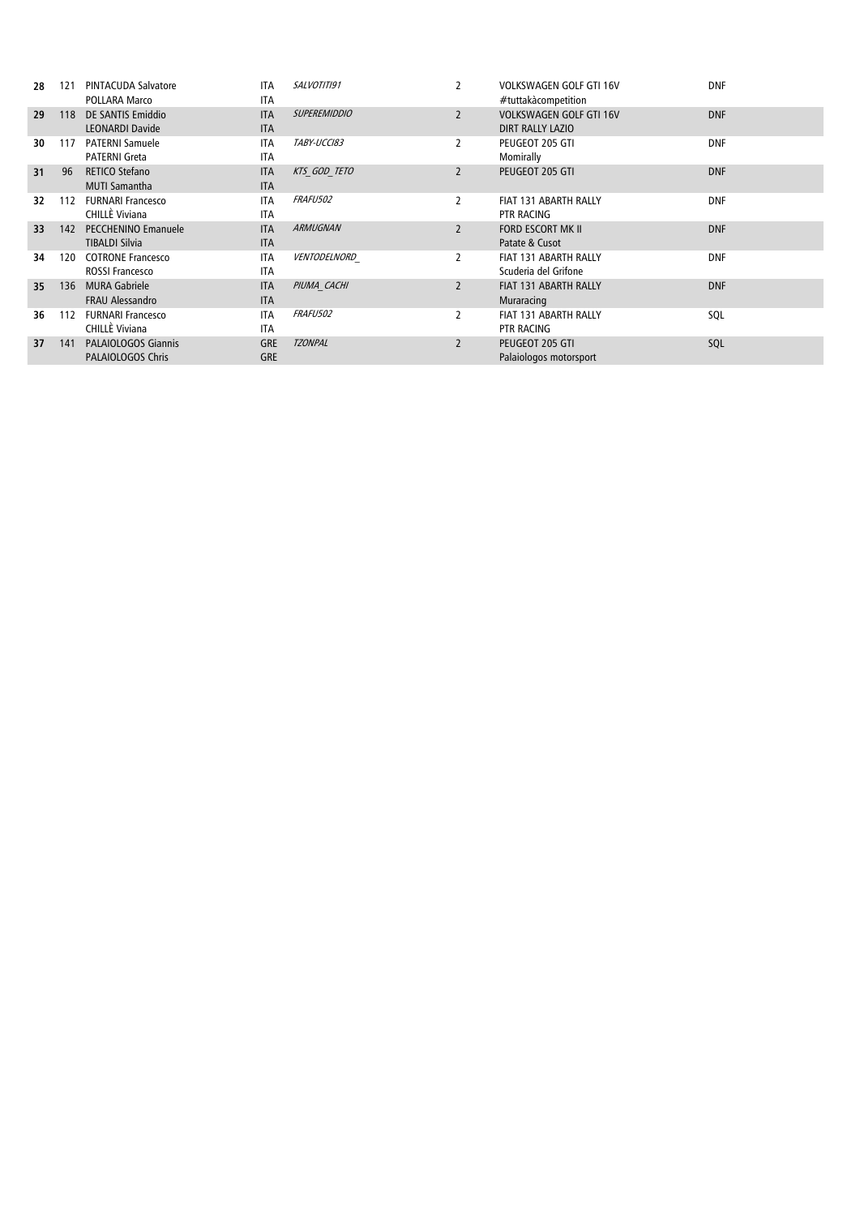| 28 | 121 | <b>PINTACUDA Salvatore</b><br>POLLARA Marco            | <b>ITA</b><br><b>ITA</b> | SALVOTITI91                | 2              | <b>VOLKSWAGEN GOLF GTI 16V</b><br>#tuttakàcompetition     | <b>DNF</b> |
|----|-----|--------------------------------------------------------|--------------------------|----------------------------|----------------|-----------------------------------------------------------|------------|
| 29 | 118 | <b>DE SANTIS Emiddio</b><br><b>LEONARDI Davide</b>     | <b>ITA</b><br><b>ITA</b> | <b>SUPEREMIDDIO</b>        | $\overline{2}$ | <b>VOLKSWAGEN GOLF GTI 16V</b><br><b>DIRT RALLY LAZIO</b> | <b>DNF</b> |
| 30 | 117 | <b>PATERNI Samuele</b><br><b>PATERNI Greta</b>         | <b>ITA</b><br><b>ITA</b> | TABY-UCCI83                | 2              | PEUGEOT 205 GTI<br>Momirally                              | <b>DNF</b> |
| 31 | 96  | <b>RETICO Stefano</b><br><b>MUTI Samantha</b>          | <b>ITA</b><br><b>ITA</b> | KTS GOD TETO               | $\overline{2}$ | PEUGEOT 205 GTI                                           | <b>DNF</b> |
| 32 | 112 | <b>FURNARI Francesco</b><br>CHILLÈ Viviana             | <b>ITA</b><br><b>ITA</b> | FRAFU502                   | 2              | FIAT 131 ABARTH RALLY<br>PTR RACING                       | <b>DNF</b> |
| 33 | 142 | <b>PECCHENINO Emanuele</b><br>TIBALDI Silvia           | <b>ITA</b><br><b>ITA</b> | <b>ARMUGNAN</b>            | $\overline{2}$ | <b>FORD ESCORT MK II</b><br>Patate & Cusot                | <b>DNF</b> |
| 34 | 120 | <b>COTRONE Francesco</b><br><b>ROSSI Francesco</b>     | <b>ITA</b><br><b>ITA</b> | <i><b>VENTODELNORD</b></i> | 2              | FIAT 131 ABARTH RALLY<br>Scuderia del Grifone             | <b>DNF</b> |
| 35 | 136 | <b>MURA Gabriele</b><br>FRAU Alessandro                | <b>ITA</b><br><b>ITA</b> | PIUMA CACHI                | $\overline{2}$ | <b>FIAT 131 ABARTH RALLY</b><br>Muraracing                | <b>DNF</b> |
| 36 | 112 | <b>FURNARI Francesco</b><br>CHILLÈ Viviana             | <b>ITA</b><br><b>ITA</b> | FRAFU502                   | 2              | FIAT 131 ABARTH RALLY<br>PTR RACING                       | SQL        |
| 37 | 141 | <b>PALAIOLOGOS Giannis</b><br><b>PALAIOLOGOS Chris</b> | <b>GRE</b><br><b>GRE</b> | <b>TZONPAL</b>             | $\overline{2}$ | PEUGEOT 205 GTI<br>Palaiologos motorsport                 | SQL        |
|    |     |                                                        |                          |                            |                |                                                           |            |